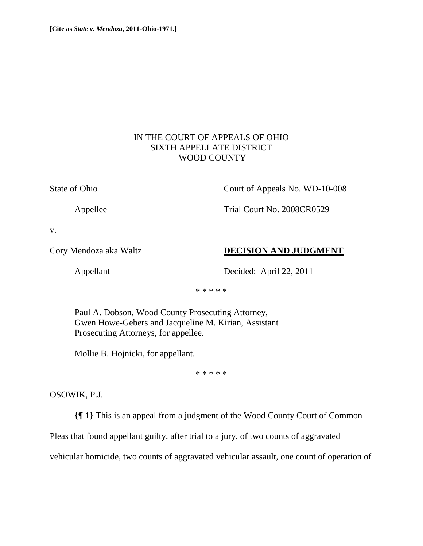## IN THE COURT OF APPEALS OF OHIO SIXTH APPELLATE DISTRICT WOOD COUNTY

State of Ohio Court of Appeals No. WD-10-008

Appellee Trial Court No. 2008CR0529

v.

## Cory Mendoza aka Waltz **DECISION AND JUDGMENT**

Appellant Decided: April 22, 2011

\* \* \* \* \*

 Paul A. Dobson, Wood County Prosecuting Attorney, Gwen Howe-Gebers and Jacqueline M. Kirian, Assistant Prosecuting Attorneys, for appellee.

Mollie B. Hojnicki, for appellant.

\* \* \* \* \*

OSOWIK, P.J.

**{¶ 1}** This is an appeal from a judgment of the Wood County Court of Common

Pleas that found appellant guilty, after trial to a jury, of two counts of aggravated

vehicular homicide, two counts of aggravated vehicular assault, one count of operation of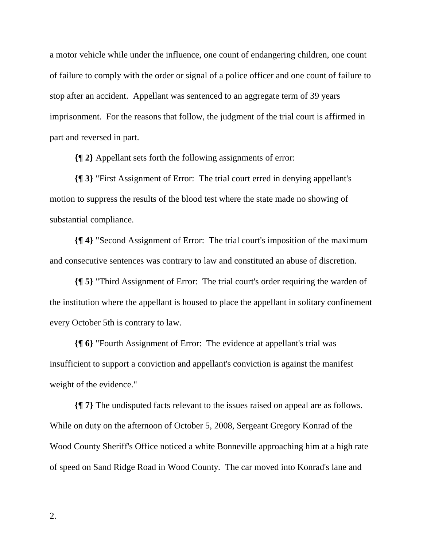a motor vehicle while under the influence, one count of endangering children, one count of failure to comply with the order or signal of a police officer and one count of failure to stop after an accident. Appellant was sentenced to an aggregate term of 39 years imprisonment. For the reasons that follow, the judgment of the trial court is affirmed in part and reversed in part.

**{¶ 2}** Appellant sets forth the following assignments of error:

**{¶ 3}** "First Assignment of Error: The trial court erred in denying appellant's motion to suppress the results of the blood test where the state made no showing of substantial compliance.

**{¶ 4}** "Second Assignment of Error: The trial court's imposition of the maximum and consecutive sentences was contrary to law and constituted an abuse of discretion.

**{¶ 5}** "Third Assignment of Error: The trial court's order requiring the warden of the institution where the appellant is housed to place the appellant in solitary confinement every October 5th is contrary to law.

**{¶ 6}** "Fourth Assignment of Error: The evidence at appellant's trial was insufficient to support a conviction and appellant's conviction is against the manifest weight of the evidence."

**{¶ 7}** The undisputed facts relevant to the issues raised on appeal are as follows. While on duty on the afternoon of October 5, 2008, Sergeant Gregory Konrad of the Wood County Sheriff's Office noticed a white Bonneville approaching him at a high rate of speed on Sand Ridge Road in Wood County. The car moved into Konrad's lane and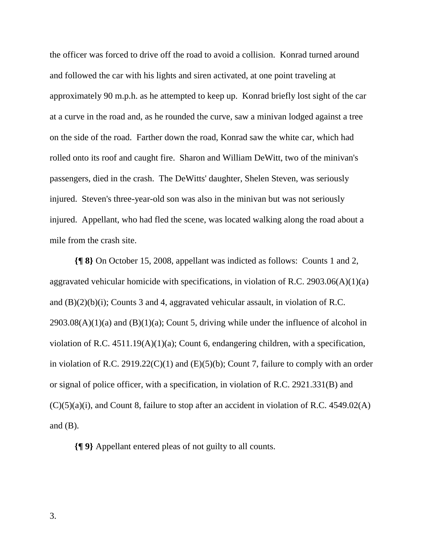the officer was forced to drive off the road to avoid a collision. Konrad turned around and followed the car with his lights and siren activated, at one point traveling at approximately 90 m.p.h. as he attempted to keep up. Konrad briefly lost sight of the car at a curve in the road and, as he rounded the curve, saw a minivan lodged against a tree on the side of the road. Farther down the road, Konrad saw the white car, which had rolled onto its roof and caught fire. Sharon and William DeWitt, two of the minivan's passengers, died in the crash. The DeWitts' daughter, Shelen Steven, was seriously injured. Steven's three-year-old son was also in the minivan but was not seriously injured. Appellant, who had fled the scene, was located walking along the road about a mile from the crash site.

**{¶ 8}** On October 15, 2008, appellant was indicted as follows: Counts 1 and 2, aggravated vehicular homicide with specifications, in violation of R.C. 2903.06(A)(1)(a) and (B)(2)(b)(i); Counts 3 and 4, aggravated vehicular assault, in violation of R.C.  $2903.08(A)(1)(a)$  and  $(B)(1)(a)$ ; Count 5, driving while under the influence of alcohol in violation of R.C. 4511.19(A)(1)(a); Count 6, endangering children, with a specification, in violation of R.C. 2919.22(C)(1) and  $(E)(5)(b)$ ; Count 7, failure to comply with an order or signal of police officer, with a specification, in violation of R.C. 2921.331(B) and  $(C)(5)(a)(i)$ , and Count 8, failure to stop after an accident in violation of R.C. 4549.02(A) and  $(B)$ .

**{¶ 9}** Appellant entered pleas of not guilty to all counts.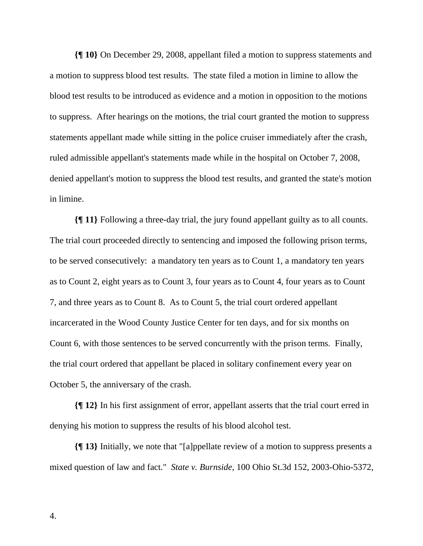**{¶ 10}** On December 29, 2008, appellant filed a motion to suppress statements and a motion to suppress blood test results. The state filed a motion in limine to allow the blood test results to be introduced as evidence and a motion in opposition to the motions to suppress. After hearings on the motions, the trial court granted the motion to suppress statements appellant made while sitting in the police cruiser immediately after the crash, ruled admissible appellant's statements made while in the hospital on October 7, 2008, denied appellant's motion to suppress the blood test results, and granted the state's motion in limine.

**{¶ 11}** Following a three-day trial, the jury found appellant guilty as to all counts. The trial court proceeded directly to sentencing and imposed the following prison terms, to be served consecutively: a mandatory ten years as to Count 1, a mandatory ten years as to Count 2, eight years as to Count 3, four years as to Count 4, four years as to Count 7, and three years as to Count 8. As to Count 5, the trial court ordered appellant incarcerated in the Wood County Justice Center for ten days, and for six months on Count 6, with those sentences to be served concurrently with the prison terms. Finally, the trial court ordered that appellant be placed in solitary confinement every year on October 5, the anniversary of the crash.

**{¶ 12}** In his first assignment of error, appellant asserts that the trial court erred in denying his motion to suppress the results of his blood alcohol test.

**{¶ 13}** Initially, we note that "[a]ppellate review of a motion to suppress presents a mixed question of law and fact." *State v. Burnside*, 100 Ohio St.3d 152, 2003-Ohio-5372,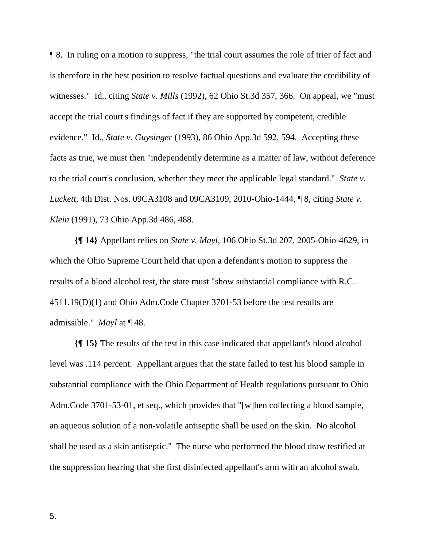¶ 8. In ruling on a motion to suppress, "the trial court assumes the role of trier of fact and is therefore in the best position to resolve factual questions and evaluate the credibility of witnesses." Id., citing *State v. Mills* (1992), 62 Ohio St.3d 357, 366. On appeal, we "must accept the trial court's findings of fact if they are supported by competent, credible evidence." Id., *State v. Guysinger* (1993), 86 Ohio App.3d 592, 594. Accepting these facts as true, we must then "independently determine as a matter of law, without deference to the trial court's conclusion, whether they meet the applicable legal standard." *State v. Luckett*, 4th Dist. Nos. 09CA3108 and 09CA3109, 2010-Ohio-1444, ¶ 8, citing *State v. Klein* (1991), 73 Ohio App.3d 486, 488.

**{¶ 14}** Appellant relies on *State v. Mayl*, 106 Ohio St.3d 207, 2005-Ohio-4629, in which the Ohio Supreme Court held that upon a defendant's motion to suppress the results of a blood alcohol test, the state must "show substantial compliance with R.C. 4511.19(D)(1) and Ohio Adm.Code Chapter 3701-53 before the test results are admissible." *Mayl* at ¶ 48.

**{¶ 15}** The results of the test in this case indicated that appellant's blood alcohol level was .114 percent. Appellant argues that the state failed to test his blood sample in substantial compliance with the Ohio Department of Health regulations pursuant to Ohio Adm.Code 3701-53-01, et seq., which provides that "[w]hen collecting a blood sample, an aqueous solution of a non-volatile antiseptic shall be used on the skin. No alcohol shall be used as a skin antiseptic." The nurse who performed the blood draw testified at the suppression hearing that she first disinfected appellant's arm with an alcohol swab.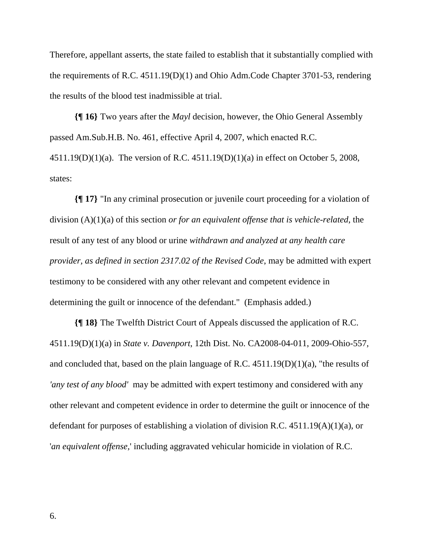Therefore, appellant asserts, the state failed to establish that it substantially complied with the requirements of R.C. 4511.19(D)(1) and Ohio Adm.Code Chapter 3701-53, rendering the results of the blood test inadmissible at trial.

**{¶ 16}** Two years after the *Mayl* decision, however, the Ohio General Assembly passed Am.Sub.H.B. No. 461, effective April 4, 2007, which enacted R.C. 4511.19(D)(1)(a). The version of R.C. 4511.19(D)(1)(a) in effect on October 5, 2008, states:

**{¶ 17}** "In any criminal prosecution or juvenile court proceeding for a violation of division (A)(1)(a) of this section *or for an equivalent offense that is vehicle-related*, the result of any test of any blood or urine *withdrawn and analyzed at any health care provider, as defined in section 2317.02 of the Revised Code*, may be admitted with expert testimony to be considered with any other relevant and competent evidence in determining the guilt or innocence of the defendant." (Emphasis added.)

**{¶ 18}** The Twelfth District Court of Appeals discussed the application of R.C. 4511.19(D)(1)(a) in *State v. Davenport*, 12th Dist. No. CA2008-04-011, 2009-Ohio-557, and concluded that, based on the plain language of R.C.  $4511.19(D)(1)(a)$ , "the results of *'any test of any blood'* may be admitted with expert testimony and considered with any other relevant and competent evidence in order to determine the guilt or innocence of the defendant for purposes of establishing a violation of division R.C.  $4511.19(A)(1)(a)$ , or '*an equivalent offense,*' including aggravated vehicular homicide in violation of R.C.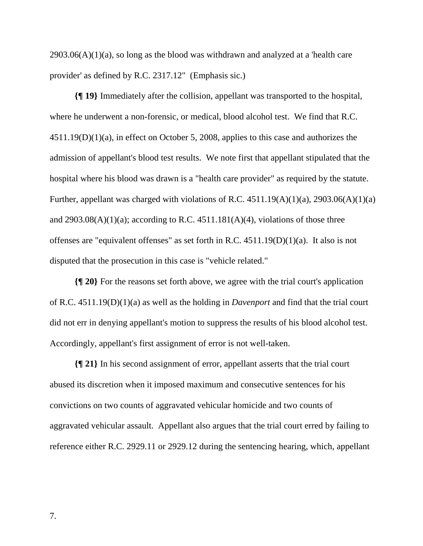$2903.06(A)(1)(a)$ , so long as the blood was withdrawn and analyzed at a 'health care' provider' as defined by R.C. 2317.12" (Emphasis sic.)

**{¶ 19}** Immediately after the collision, appellant was transported to the hospital, where he underwent a non-forensic, or medical, blood alcohol test. We find that R.C. 4511.19(D)(1)(a), in effect on October 5, 2008, applies to this case and authorizes the admission of appellant's blood test results. We note first that appellant stipulated that the hospital where his blood was drawn is a "health care provider" as required by the statute. Further, appellant was charged with violations of R.C.  $4511.19(A)(1)(a)$ ,  $2903.06(A)(1)(a)$ and  $2903.08(A)(1)(a)$ ; according to R.C.  $4511.181(A)(4)$ , violations of those three offenses are "equivalent offenses" as set forth in R.C. 4511.19(D)(1)(a). It also is not disputed that the prosecution in this case is "vehicle related."

**{¶ 20}** For the reasons set forth above, we agree with the trial court's application of R.C. 4511.19(D)(1)(a) as well as the holding in *Davenport* and find that the trial court did not err in denying appellant's motion to suppress the results of his blood alcohol test. Accordingly, appellant's first assignment of error is not well-taken.

**{¶ 21}** In his second assignment of error, appellant asserts that the trial court abused its discretion when it imposed maximum and consecutive sentences for his convictions on two counts of aggravated vehicular homicide and two counts of aggravated vehicular assault. Appellant also argues that the trial court erred by failing to reference either R.C. 2929.11 or 2929.12 during the sentencing hearing, which, appellant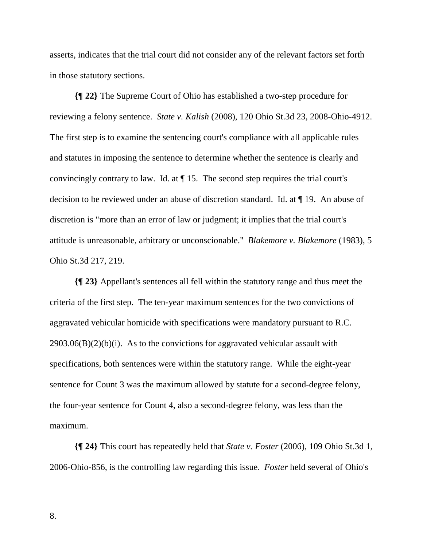asserts, indicates that the trial court did not consider any of the relevant factors set forth in those statutory sections.

**{¶ 22}** The Supreme Court of Ohio has established a two-step procedure for reviewing a felony sentence. *State v. Kalish* (2008), 120 Ohio St.3d 23, 2008-Ohio-4912. The first step is to examine the sentencing court's compliance with all applicable rules and statutes in imposing the sentence to determine whether the sentence is clearly and convincingly contrary to law. Id. at ¶ 15. The second step requires the trial court's decision to be reviewed under an abuse of discretion standard. Id. at ¶ 19. An abuse of discretion is "more than an error of law or judgment; it implies that the trial court's attitude is unreasonable, arbitrary or unconscionable." *Blakemore v. Blakemore* (1983), 5 Ohio St.3d 217, 219.

**{¶ 23}** Appellant's sentences all fell within the statutory range and thus meet the criteria of the first step. The ten-year maximum sentences for the two convictions of aggravated vehicular homicide with specifications were mandatory pursuant to R.C.  $2903.06(B)(2)(b)(i)$ . As to the convictions for aggravated vehicular assault with specifications, both sentences were within the statutory range. While the eight-year sentence for Count 3 was the maximum allowed by statute for a second-degree felony, the four-year sentence for Count 4, also a second-degree felony, was less than the maximum.

**{¶ 24}** This court has repeatedly held that *State v. Foster* (2006), 109 Ohio St.3d 1, 2006-Ohio-856, is the controlling law regarding this issue. *Foster* held several of Ohio's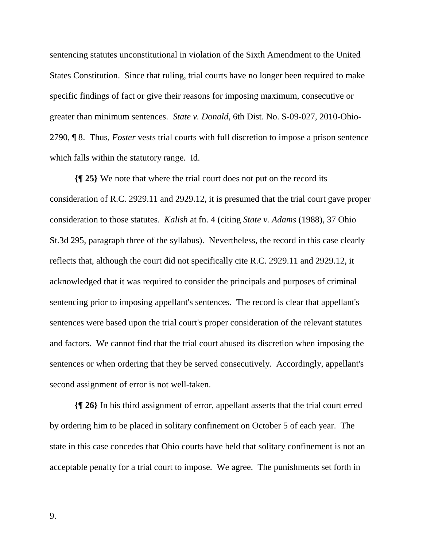sentencing statutes unconstitutional in violation of the Sixth Amendment to the United States Constitution. Since that ruling, trial courts have no longer been required to make specific findings of fact or give their reasons for imposing maximum, consecutive or greater than minimum sentences. *State v. Donald*, 6th Dist. No. S-09-027, 2010-Ohio-2790, ¶ 8. Thus, *Foster* vests trial courts with full discretion to impose a prison sentence which falls within the statutory range. Id.

**{¶ 25}** We note that where the trial court does not put on the record its consideration of R.C. 2929.11 and 2929.12, it is presumed that the trial court gave proper consideration to those statutes. *Kalish* at fn. 4 (citing *State v. Adams* (1988), 37 Ohio St.3d 295, paragraph three of the syllabus). Nevertheless, the record in this case clearly reflects that, although the court did not specifically cite R.C. 2929.11 and 2929.12, it acknowledged that it was required to consider the principals and purposes of criminal sentencing prior to imposing appellant's sentences. The record is clear that appellant's sentences were based upon the trial court's proper consideration of the relevant statutes and factors. We cannot find that the trial court abused its discretion when imposing the sentences or when ordering that they be served consecutively. Accordingly, appellant's second assignment of error is not well-taken.

**{¶ 26}** In his third assignment of error, appellant asserts that the trial court erred by ordering him to be placed in solitary confinement on October 5 of each year. The state in this case concedes that Ohio courts have held that solitary confinement is not an acceptable penalty for a trial court to impose. We agree. The punishments set forth in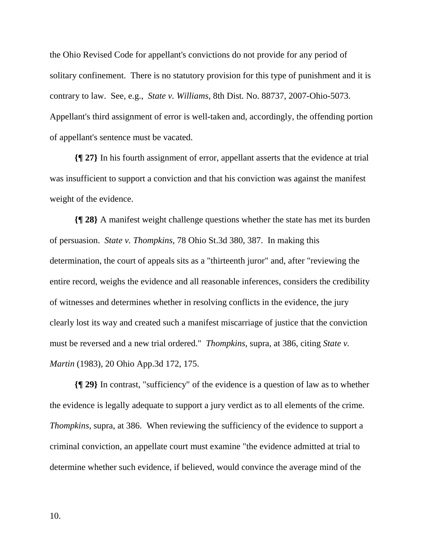the Ohio Revised Code for appellant's convictions do not provide for any period of solitary confinement. There is no statutory provision for this type of punishment and it is contrary to law. See, e.g., *State v. Williams*, 8th Dist. No. 88737, 2007-Ohio-5073. Appellant's third assignment of error is well-taken and, accordingly, the offending portion of appellant's sentence must be vacated.

**{¶ 27}** In his fourth assignment of error, appellant asserts that the evidence at trial was insufficient to support a conviction and that his conviction was against the manifest weight of the evidence.

**{¶ 28}** A manifest weight challenge questions whether the state has met its burden of persuasion. *State v. Thompkins,* 78 Ohio St.3d 380, 387. In making this determination, the court of appeals sits as a "thirteenth juror" and, after "reviewing the entire record, weighs the evidence and all reasonable inferences, considers the credibility of witnesses and determines whether in resolving conflicts in the evidence, the jury clearly lost its way and created such a manifest miscarriage of justice that the conviction must be reversed and a new trial ordered." *Thompkins,* supra, at 386, citing *State v. Martin* (1983), 20 Ohio App.3d 172, 175.

**{¶ 29}** In contrast, "sufficiency" of the evidence is a question of law as to whether the evidence is legally adequate to support a jury verdict as to all elements of the crime. *Thompkins, supra, at 386.* When reviewing the sufficiency of the evidence to support a criminal conviction, an appellate court must examine "the evidence admitted at trial to determine whether such evidence, if believed, would convince the average mind of the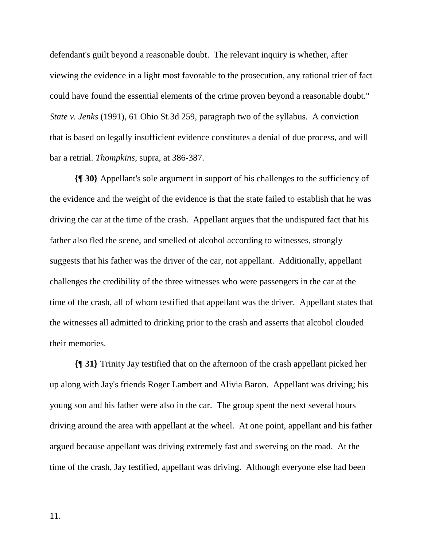defendant's guilt beyond a reasonable doubt. The relevant inquiry is whether, after viewing the evidence in a light most favorable to the prosecution, any rational trier of fact could have found the essential elements of the crime proven beyond a reasonable doubt." *State v. Jenks* (1991), 61 Ohio St.3d 259, paragraph two of the syllabus. A conviction that is based on legally insufficient evidence constitutes a denial of due process, and will bar a retrial. *Thompkins,* supra, at 386-387.

**{¶ 30}** Appellant's sole argument in support of his challenges to the sufficiency of the evidence and the weight of the evidence is that the state failed to establish that he was driving the car at the time of the crash. Appellant argues that the undisputed fact that his father also fled the scene, and smelled of alcohol according to witnesses, strongly suggests that his father was the driver of the car, not appellant. Additionally, appellant challenges the credibility of the three witnesses who were passengers in the car at the time of the crash, all of whom testified that appellant was the driver. Appellant states that the witnesses all admitted to drinking prior to the crash and asserts that alcohol clouded their memories.

**{¶ 31}** Trinity Jay testified that on the afternoon of the crash appellant picked her up along with Jay's friends Roger Lambert and Alivia Baron. Appellant was driving; his young son and his father were also in the car. The group spent the next several hours driving around the area with appellant at the wheel. At one point, appellant and his father argued because appellant was driving extremely fast and swerving on the road. At the time of the crash, Jay testified, appellant was driving. Although everyone else had been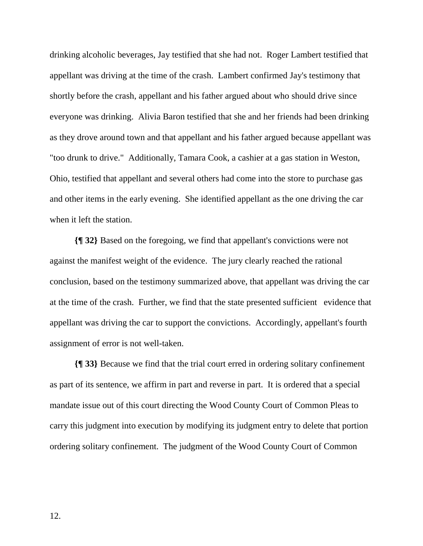drinking alcoholic beverages, Jay testified that she had not. Roger Lambert testified that appellant was driving at the time of the crash. Lambert confirmed Jay's testimony that shortly before the crash, appellant and his father argued about who should drive since everyone was drinking. Alivia Baron testified that she and her friends had been drinking as they drove around town and that appellant and his father argued because appellant was "too drunk to drive." Additionally, Tamara Cook, a cashier at a gas station in Weston, Ohio, testified that appellant and several others had come into the store to purchase gas and other items in the early evening. She identified appellant as the one driving the car when it left the station.

**{¶ 32}** Based on the foregoing, we find that appellant's convictions were not against the manifest weight of the evidence. The jury clearly reached the rational conclusion, based on the testimony summarized above, that appellant was driving the car at the time of the crash. Further, we find that the state presented sufficient evidence that appellant was driving the car to support the convictions. Accordingly, appellant's fourth assignment of error is not well-taken.

**{¶ 33}** Because we find that the trial court erred in ordering solitary confinement as part of its sentence, we affirm in part and reverse in part. It is ordered that a special mandate issue out of this court directing the Wood County Court of Common Pleas to carry this judgment into execution by modifying its judgment entry to delete that portion ordering solitary confinement. The judgment of the Wood County Court of Common